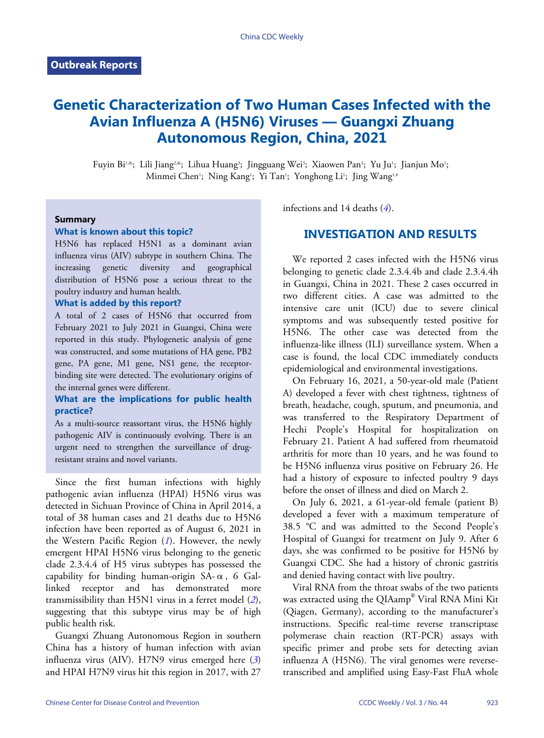# **Genetic Characterization of Two Human Cases Infected with the Avian Influenza A (H5N6) Viruses — Guangxi Zhuang Autonomous Region, China, 2021**

Fuyin Bi<sup>1,&</sup>; Lili Jiang<sup>2,&</sup>; Lihua Huang<sup>3</sup>; Jingguang Wei<sup>3</sup>; Xiaowen Pan<sup>2</sup>; Yu Ju<sup>1</sup>; Jianjun Mo<sup>1</sup>; Minmei Chen'; Ning Kang'; Yi Tan'; Yonghong Li'; Jing Wang<sup>1,#</sup>

#### **Summary**

#### **What is known about this topic?**

H5N6 has replaced H5N1 as a dominant avian influenza virus (AIV) subtype in southern China. The increasing genetic diversity and geographical distribution of H5N6 pose a serious threat to the poultry industry and human health.

#### **What is added by this report?**

A total of 2 cases of H5N6 that occurred from February 2021 to July 2021 in Guangxi, China were reported in this study. Phylogenetic analysis of gene was constructed, and some mutations of HA gene, PB2 gene, PA gene, M1 gene, NS1 gene, the receptorbinding site were detected. The evolutionary origins of the internal genes were different.

### **What are the implications for public health practice?**

As a multi-source reassortant virus, the H5N6 highly pathogenic AIV is continuously evolving. There is an urgent need to strengthen the surveillance of drugresistant strains and novel variants.

Since the first human infections with highly pathogenic avian influenza (HPAI) H5N6 virus was detected in Sichuan Province of China in April 2014, a total of 38 human cases and 21 deaths due to H5N6 infection have been reported as of August 6, 2021 in the Western Pacific Region (*[1](#page-4-0)*). However, the newly emergent HPAI H5N6 virus belonging to the genetic clade 2.3.4.4 of H5 virus subtypes has possessed the capability for binding human-origin  $SA-\alpha$ , 6  $Gal$ linked receptor and has demonstrated more transmissibility than H5N1 virus in a ferret model (*[2](#page-4-1)*), suggesting that this subtype virus may be of high public health risk.

Guangxi Zhuang Autonomous Region in southern China has a history of human infection with avian influenza virus (AIV). H7N9 virus emerged here (*[3](#page-4-2)*) and HPAI H7N9 virus hit this region in 2017, with 27

infections and 14 deaths (*[4](#page-4-3)*).

## **INVESTIGATION AND RESULTS**

We reported 2 cases infected with the H5N6 virus belonging to genetic clade 2.3.4.4b and clade 2.3.4.4h in Guangxi, China in 2021. These 2 cases occurred in two different cities. A case was admitted to the intensive care unit (ICU) due to severe clinical symptoms and was subsequently tested positive for H5N6. The other case was detected from the influenza-like illness (ILI) surveillance system. When a case is found, the local CDC immediately conducts epidemiological and environmental investigations.

On February 16, 2021, a 50-year-old male (Patient A) developed a fever with chest tightness, tightness of breath, headache, cough, sputum, and pneumonia, and was transferred to the Respiratory Department of Hechi People's Hospital for hospitalization on February 21. Patient A had suffered from rheumatoid arthritis for more than 10 years, and he was found to be H5N6 influenza virus positive on February 26. He had a history of exposure to infected poultry 9 days before the onset of illness and died on March 2.

On July 6, 2021, a 61-year-old female (patient B) developed a fever with a maximum temperature of 38.5 °C and was admitted to the Second People's Hospital of Guangxi for treatment on July 9. After 6 days, she was confirmed to be positive for H5N6 by Guangxi CDC. She had a history of chronic gastritis and denied having contact with live poultry.

Viral RNA from the throat swabs of the two patients was extracted using the QIAamp® Viral RNA Mini Kit (Qiagen, Germany), according to the manufacturer's instructions. Specific real-time reverse transcriptase polymerase chain reaction (RT-PCR) assays with specific primer and probe sets for detecting avian influenza A (H5N6). The viral genomes were reversetranscribed and amplified using Easy-Fast FluA whole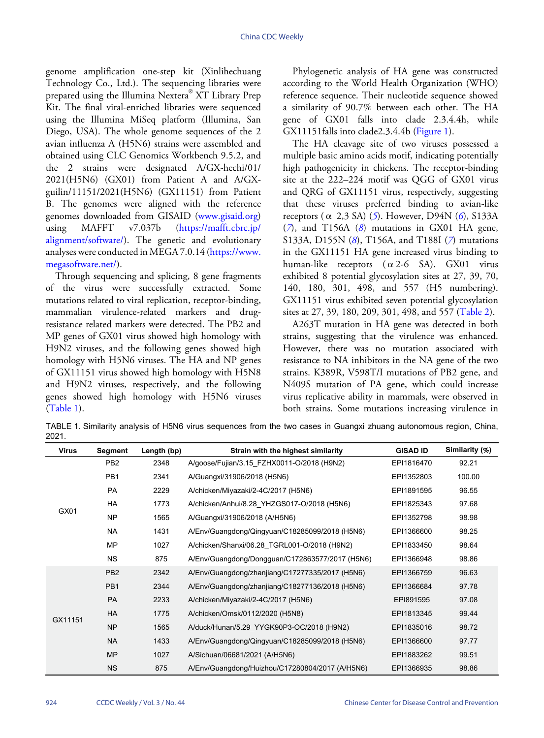genome amplification one-step kit (Xinlihechuang Technology Co., Ltd.). The sequencing libraries were prepared using the Illumina Nextera® XT Library Prep Kit. The final viral-enriched libraries were sequenced using the Illumina MiSeq platform (Illumina, San Diego, USA). The whole genome sequences of the 2 avian influenza A (H5N6) strains were assembled and obtained using CLC Genomics Workbench 9.5.2, and the 2 strains were designated A/GX-hechi/01/ 2021(H5N6) (GX01) from Patient A and A/GXguilin/11151/2021(H5N6) (GX11151) from Patient B. The genomes were aligned with the reference genomes downloaded from GISAID (<www.gisaid.org>) using MAFFT v7.037b ([https://mafft.cbrc.jp/](https://mafft.cbrc.jp/alignment/software/) [alignment/software/](https://mafft.cbrc.jp/alignment/software/)). The genetic and evolutionary analyses were conducted in MEGA 7.0.14 ([https://www.](https://www.megasoftware.net/) [megasoftware.net/](https://www.megasoftware.net/)).

Through sequencing and splicing, 8 gene fragments of the virus were successfully extracted. Some mutations related to viral replication, receptor-binding, mammalian virulence-related markers and drugresistance related markers were detected. The PB2 and MP genes of GX01 virus showed high homology with H9N2 viruses, and the following genes showed high homology with H5N6 viruses. The HA and NP genes of GX11151 virus showed high homology with H5N8 and H9N2 viruses, respectively, and the following genes showed high homology with H5N6 viruses ([Table 1](#page-1-0)).

Phylogenetic analysis of HA gene was constructed according to the World Health Organization (WHO) reference sequence. Their nucleotide sequence showed a similarity of 90.7% between each other. The HA gene of GX01 falls into clade 2.3.4.4h, while GX11151falls into clade2.3.4.4b [\(Figure 1\)](#page-2-0).

The HA cleavage site of two viruses possessed a multiple basic amino acids motif, indicating potentially high pathogenicity in chickens. The receptor-binding site at the 222–224 motif was QGG of GX01 virus and QRG of GX11151 virus, respectively, suggesting that these viruses preferred binding to avian-like receptors (α 2,3 SA) (*[5](#page-4-4)*). However, D94N (*[6](#page-4-5)*), S133A (*[7](#page-4-6)*), and T156A (*[8](#page-4-7)*) mutations in GX01 HA gene, S133A, D155N (*[8](#page-4-7)*), T156A, and T188I (*[7](#page-4-6)*) mutations in the GX11151 HA gene increased virus binding to human-like receptors  $(\alpha 2-6$  SA). GX01 virus exhibited 8 potential glycosylation sites at 27, 39, 70, 140, 180, 301, 498, and 557 (H5 numbering). GX11151 virus exhibited seven potential glycosylation sites at 27, 39, 180, 209, 301, 498, and 557 ([Table 2](#page-3-0)).

A263T mutation in HA gene was detected in both strains, suggesting that the virulence was enhanced. However, there was no mutation associated with resistance to NA inhibitors in the NA gene of the two strains. K389R, V598T/I mutations of PB2 gene, and N409S mutation of PA gene, which could increase virus replicative ability in mammals, were observed in both strains. Some mutations increasing virulence in

<span id="page-1-0"></span>TABLE 1. Similarity analysis of H5N6 virus sequences from the two cases in Guangxi zhuang autonomous region, China, 2021.

| <b>Virus</b> | Segment         | Length (bp) | Strain with the highest similarity              | <b>GISAD ID</b> | Similarity (%) |
|--------------|-----------------|-------------|-------------------------------------------------|-----------------|----------------|
| GX01         | PB <sub>2</sub> | 2348        | A/goose/Fujian/3.15 FZHX0011-O/2018 (H9N2)      | EPI1816470      | 92.21          |
|              | PB <sub>1</sub> | 2341        | A/Guangxi/31906/2018 (H5N6)                     | EPI1352803      | 100.00         |
|              | <b>PA</b>       | 2229        | A/chicken/Miyazaki/2-4C/2017 (H5N6)             | EPI1891595      | 96.55          |
|              | <b>HA</b>       | 1773        | A/chicken/Anhui/8.28 YHZGS017-O/2018 (H5N6)     | EPI1825343      | 97.68          |
|              | <b>NP</b>       | 1565        | A/Guangxi/31906/2018 (A/H5N6)                   | EPI1352798      | 98.98          |
|              | <b>NA</b>       | 1431        | A/Env/Guangdong/Qingyuan/C18285099/2018 (H5N6)  | EPI1366600      | 98.25          |
|              | <b>MP</b>       | 1027        | A/chicken/Shanxi/06.28 TGRL001-O/2018 (H9N2)    | EPI1833450      | 98.64          |
|              | <b>NS</b>       | 875         | A/Env/Guangdong/Dongguan/C172863577/2017 (H5N6) | EPI1366948      | 98.86          |
| GX11151      | PB <sub>2</sub> | 2342        | A/Env/Guangdong/zhanjiang/C17277335/2017 (H5N6) | EPI1366759      | 96.63          |
|              | PB <sub>1</sub> | 2344        | A/Env/Guangdong/zhanjiang/C18277136/2018 (H5N6) | EPI1366684      | 97.78          |
|              | <b>PA</b>       | 2233        | A/chicken/Miyazaki/2-4C/2017 (H5N6)             | EPI891595       | 97.08          |
|              | <b>HA</b>       | 1775        | A/chicken/Omsk/0112/2020 (H5N8)                 | EPI1813345      | 99.44          |
|              | <b>NP</b>       | 1565        | A/duck/Hunan/5.29 YYGK90P3-OC/2018 (H9N2)       | EPI1835016      | 98.72          |
|              | <b>NA</b>       | 1433        | A/Env/Guangdong/Qingyuan/C18285099/2018 (H5N6)  | EPI1366600      | 97.77          |
|              | <b>MP</b>       | 1027        | A/Sichuan/06681/2021 (A/H5N6)                   | EPI1883262      | 99.51          |
|              | <b>NS</b>       | 875         | A/Env/Guangdong/Huizhou/C17280804/2017 (A/H5N6) | EPI1366935      | 98.86          |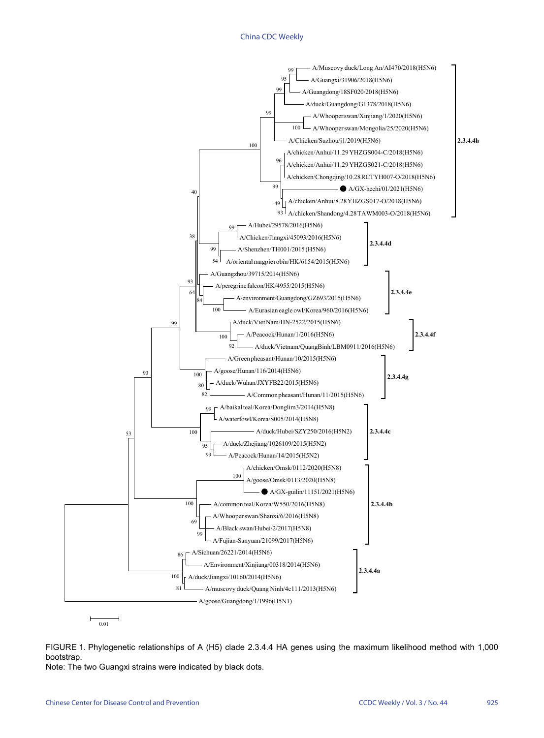#### China CDC Weekly

<span id="page-2-0"></span>

FIGURE 1. Phylogenetic relationships of A (H5) clade 2.3.4.4 HA genes using the maximum likelihood method with 1,000 bootstrap. Note: The two Guangxi strains were indicated by black dots.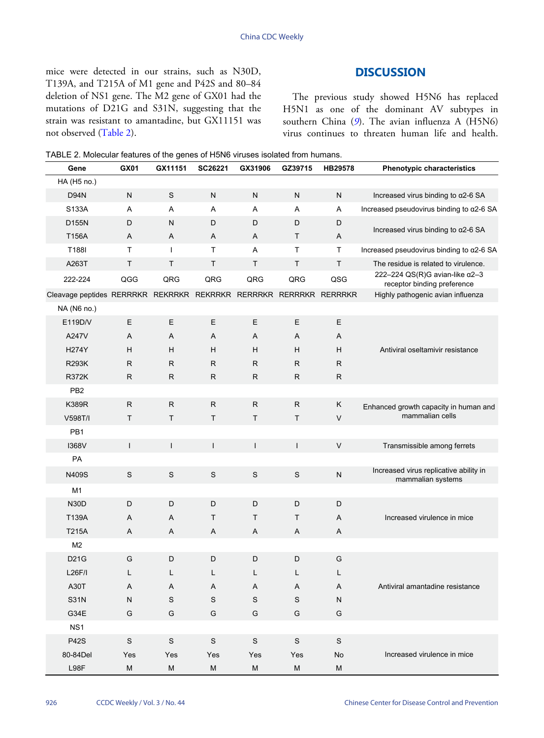mice were detected in our strains, such as N30D, T139A, and T215A of M1 gene and P42S and 80–84 deletion of NS1 gene. The M2 gene of GX01 had the mutations of D21G and S31N, suggesting that the strain was resistant to amantadine, but GX11151 was not observed ([Table 2](#page-3-0)).

## **DISCUSSION**

The previous study showed H5N6 has replaced H5N1 as one of the dominant AV subtypes in southern China ([9](#page-5-0)). The avian influenza A (H5N6) virus continues to threaten human life and health.

<span id="page-3-0"></span>

| TABLE 2. Molecular features of the genes of H5N6 viruses isolated from humans. |
|--------------------------------------------------------------------------------|
|--------------------------------------------------------------------------------|

| Gene                                                              | <b>GX01</b>  | GX11151      | SC26221       | GX31906      | GZ39715      | HB29578      | <b>Phenotypic characteristics</b>                                     |  |
|-------------------------------------------------------------------|--------------|--------------|---------------|--------------|--------------|--------------|-----------------------------------------------------------------------|--|
| HA (H <sub>5</sub> no.)                                           |              |              |               |              |              |              |                                                                       |  |
| <b>D94N</b>                                                       | ${\sf N}$    | $\mathsf S$  | ${\sf N}$     | $\mathsf N$  | ${\sf N}$    | ${\sf N}$    | Increased virus binding to a2-6 SA                                    |  |
| S133A                                                             | Α            | A            | Α             | Α            | Α            | A            | Increased pseudovirus binding to α2-6 SA                              |  |
| D155N                                                             | D            | N            | D             | D            | D            | D            | Increased virus binding to $\alpha$ 2-6 SA                            |  |
| T156A                                                             | Α            | A            | Α             | A            | T.           | A            |                                                                       |  |
| T188I                                                             | T.           | $\mathbf{I}$ | T             | A            | $\mathsf{T}$ | $\top$       | Increased pseudovirus binding to α2-6 SA                              |  |
| A263T                                                             | T            | T            | T.            | $\mathsf{T}$ | $\sf T$      | $\sf T$      | The residue is related to virulence.                                  |  |
| 222-224                                                           | QGG          | QRG          | QRG           | QRG          | QRG          | QSG          | 222-224 QS(R)G avian-like $\alpha$ 2-3<br>receptor binding preference |  |
| Cleavage peptides RERRRKR REKRRKR REKRRKR RERRRKR RERRRKR RERRRKR |              |              |               |              |              |              | Highly pathogenic avian influenza                                     |  |
| NA (N6 no.)                                                       |              |              |               |              |              |              |                                                                       |  |
| E119D/V                                                           | E            | E            | E             | E            | E            | $\mathsf E$  |                                                                       |  |
| A247V                                                             | Α            | A            | Α             | A            | A            | A            |                                                                       |  |
| <b>H274Y</b>                                                      | H            | H            | H             | H            | H            | H            | Antiviral oseltamivir resistance                                      |  |
| <b>R293K</b>                                                      | $\mathsf{R}$ | R            | $\mathsf{R}$  | R            | $\mathsf{R}$ | $\mathsf{R}$ |                                                                       |  |
| <b>R372K</b>                                                      | $\mathsf{R}$ | $\mathsf{R}$ | $\mathsf{R}$  | $\mathsf{R}$ | $\mathsf{R}$ | $\mathsf{R}$ |                                                                       |  |
| PB <sub>2</sub>                                                   |              |              |               |              |              |              |                                                                       |  |
| <b>K389R</b>                                                      | ${\sf R}$    | ${\sf R}$    | ${\sf R}$     | $\mathsf{R}$ | ${\sf R}$    | К            | Enhanced growth capacity in human and                                 |  |
| V598T/I                                                           | T            | T            | T.            | $\mathsf{T}$ | T.           | $\vee$       | mammalian cells                                                       |  |
| PB1                                                               |              |              |               |              |              |              |                                                                       |  |
| <b>I368V</b>                                                      | $\mathsf{L}$ | L            | $\mathbf{I}$  | $\mathbf{I}$ | $\mathsf{I}$ | $\vee$       | Transmissible among ferrets                                           |  |
| PA                                                                |              |              |               |              |              |              |                                                                       |  |
| N409S                                                             | S            | S            | $\mathbf S$   | S            | S            | ${\sf N}$    | Increased virus replicative ability in<br>mammalian systems           |  |
| M1                                                                |              |              |               |              |              |              |                                                                       |  |
| <b>N30D</b>                                                       | D            | D            | D             | D            | D            | D            |                                                                       |  |
| T139A                                                             | Α            | A            | Τ             | T            | Τ            | A            | Increased virulence in mice                                           |  |
| <b>T215A</b>                                                      | Α            | A            | A             | A            | A            | A            |                                                                       |  |
| M <sub>2</sub>                                                    |              |              |               |              |              |              |                                                                       |  |
| D21G                                                              | G            | D            | D             | D            | D            | G            |                                                                       |  |
| L26F/I                                                            | L            |              | L             |              | L            | L            |                                                                       |  |
| A30T                                                              | Α            | A            | A             | A            | A            | A            | Antiviral amantadine resistance                                       |  |
| <b>S31N</b>                                                       | N            | $\mathbb S$  | ${\mathsf S}$ | S            | S            | N            |                                                                       |  |
| G34E                                                              | G            | G            | G             | G            | G            | G            |                                                                       |  |
| NS <sub>1</sub>                                                   |              |              |               |              |              |              |                                                                       |  |
| <b>P42S</b>                                                       | $\mathbb S$  | $\mathsf S$  | $\mathsf S$   | $\mathsf S$  | S            | $\mathsf S$  |                                                                       |  |
| 80-84Del                                                          | Yes          | Yes          | Yes           | Yes          | Yes          | No           | Increased virulence in mice                                           |  |
| L98F                                                              | M            | M            | M             | M            | M            | M            |                                                                       |  |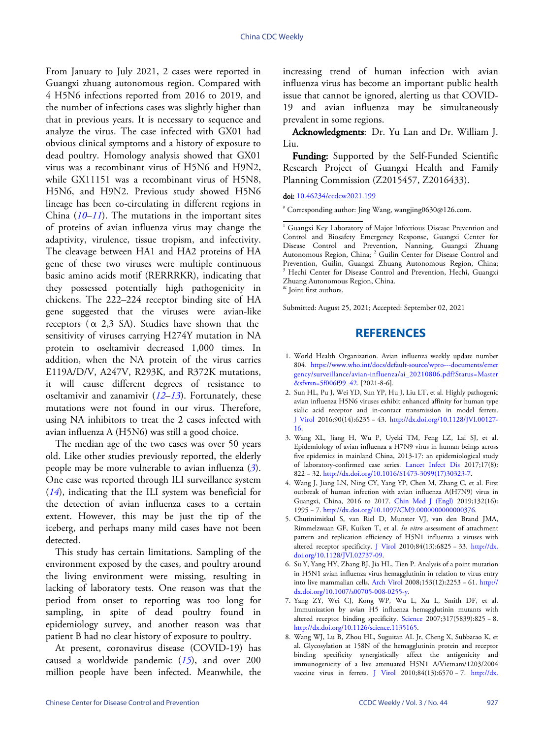From January to July 2021, 2 cases were reported in Guangxi zhuang autonomous region. Compared with 4 H5N6 infections reported from 2016 to 2019, and the number of infections cases was slightly higher than that in previous years. It is necessary to sequence and analyze the virus. The case infected with GX01 had obvious clinical symptoms and a history of exposure to dead poultry. Homology analysis showed that GX01 virus was a recombinant virus of H5N6 and H9N2, while GX11151 was a recombinant virus of H5N8, H5N6, and H9N2. Previous study showed H5N6 lineage has been co-circulating in different regions in China (*[10](#page-5-1)*–*[11](#page-5-2)*). The mutations in the important sites of proteins of avian influenza virus may change the adaptivity, virulence, tissue tropism, and infectivity. The cleavage between HA1 and HA2 proteins of HA gene of these two viruses were multiple continuous basic amino acids motif (RERRRKR), indicating that they possessed potentially high pathogenicity in chickens. The 222–224 receptor binding site of HA gene suggested that the viruses were avian-like receptors  $(\alpha$  2,3 SA). Studies have shown that the sensitivity of viruses carrying H274Y mutation in NA protein to oseltamivir decreased 1,000 times. In addition, when the NA protein of the virus carries E119A/D/V, A247V, R293K, and R372K mutations, it will cause different degrees of resistance to oseltamivir and zanamivir (*[12](#page-5-3)*–*[13](#page-5-4)*). Fortunately, these mutations were not found in our virus. Therefore, using NA inhibitors to treat the 2 cases infected with avian influenza A (H5N6) was still a good choice.

The median age of the two cases was over 50 years old. Like other studies previously reported, the elderly people may be more vulnerable to avian influenza (*[3](#page-4-2)*). One case was reported through ILI surveillance system (*[14](#page-5-5)*), indicating that the ILI system was beneficial for the detection of avian influenza cases to a certain extent. However, this may be just the tip of the iceberg, and perhaps many mild cases have not been detected.

This study has certain limitations. Sampling of the environment exposed by the cases, and poultry around the living environment were missing, resulting in lacking of laboratory tests. One reason was that the period from onset to reporting was too long for sampling, in spite of dead poultry found in epidemiology survey, and another reason was that patient B had no clear history of exposure to poultry.

At present, coronavirus disease (COVID-19) has caused a worldwide pandemic (*[15](#page-5-6)*), and over 200 million people have been infected. Meanwhile, the

increasing trend of human infection with avian influenza virus has become an important public health issue that cannot be ignored, alerting us that COVID-19 and avian influenza may be simultaneously prevalent in some regions.

Acknowledgments: Dr. Yu Lan and Dr. William J. Liu.

Funding: Supported by the Self-Funded Scientific Research Project of Guangxi Health and Family Planning Commission (Z2015457, Z2016433).

doi: [10.46234/ccdcw2021.199](https://doi.org/10.46234/ccdcw2021.199)

# Corresponding author: Jing Wang, wangjing0630@126.com.

& Joint first authors.

Submitted: August 25, 2021; Accepted: September 02, 2021

## **REFERENCES**

- <span id="page-4-0"></span>World Health Organization. Avian influenza weekly update number 1. 804. [https://www.who.int/docs/default-source/wpro---documents/emer](https://www.who.int/docs/default-source/wpro---documents/emergency/surveillance/avian-influenza/ai_20210806.pdf?Status=Master&sfvrsn=5f006f99_42) [gency/surveillance/avian-influenza/ai\\_20210806.pdf?Status=Master](https://www.who.int/docs/default-source/wpro---documents/emergency/surveillance/avian-influenza/ai_20210806.pdf?Status=Master&sfvrsn=5f006f99_42) [&sfvrsn=5f006f99\\_42](https://www.who.int/docs/default-source/wpro---documents/emergency/surveillance/avian-influenza/ai_20210806.pdf?Status=Master&sfvrsn=5f006f99_42). [2021-8-6].
- <span id="page-4-1"></span>2. Sun HL, Pu J, Wei YD, Sun YP, Hu J, Liu LT, et al. Highly pathogenic avian influenza H5N6 viruses exhibit enhanced affinity for human type sialic acid receptor and in-contact transmission in model ferrets. [J Viro](https://doi.org/10.1128/JVI.00127-16)l 2016;90(14):6235 − 43. [http://dx.doi.org/10.1128/JVI.00127-](https://doi.org/10.1128/JVI.00127-16) [16.](https://doi.org/10.1128/JVI.00127-16)
- <span id="page-4-2"></span>Wang XL, Jiang H, Wu P, Uyeki TM, Feng LZ, Lai SJ, et al. 3. Epidemiology of avian influenza a H7N9 virus in human beings across five epidemics in mainland China, 2013-17: an epidemiological study of laboratory-confirmed case series. [Lancet Infect D](https://doi.org/10.1016/S1473-3099(17)30323-7)is 2017;17(8): 822 − 32. [http://dx.doi.org/10.1016/S1473-3099\(17\)30323-7.](https://doi.org/10.1016/S1473-3099(17)30323-7)
- <span id="page-4-3"></span>Wang J, Jiang LN, Ning CY, Yang YP, Chen M, Zhang C, et al. First 4. outbreak of human infection wit[h avian influenza A](https://doi.org/10.1097/CM9.0000000000000376)(H7N9) virus in Guangxi, China, 2016 to 2017. Chin Med J (Engl) 2019;132(16): 1995 − 7. [http://dx.doi.org/10.1097/CM9.0000000000000376.](https://doi.org/10.1097/CM9.0000000000000376)
- <span id="page-4-4"></span>5. Chutinimitkul S, van Riel D, Munster VJ, van den Brand JMA, Rimmelzwaan GF, Kuiken T, et al. *In vitro* assessment of attachment pattern and replication efficiency of H5N1 influenza a viruses with [altered receptor specificity.](https://doi.org/10.1128/JVI.02737-09) [J Virol](https://doi.org/10.1128/JVI.02737-09) 2010;84(13):6825 − 33. [http://dx.](https://doi.org/10.1128/JVI.02737-09) [doi.org/10.1128/JVI.02737-09](https://doi.org/10.1128/JVI.02737-09).
- <span id="page-4-5"></span>6. Su Y, Yang HY, Zhang BJ, Jia HL, Tien P. Analysis of a point mutation in H5N1 avian influenza v[irus hemag](https://doi.org/10.1007/s00705-008-0255-y)glutinin in relation to viru[s entry](https://doi.org/10.1007/s00705-008-0255-y) [into live mammalian cells.](https://doi.org/10.1007/s00705-008-0255-y) [Arch Virol](https://doi.org/10.1007/s00705-008-0255-y) 2008;153(12):2253 − 61. [http://](https://doi.org/10.1007/s00705-008-0255-y) [dx.doi.org/10.1007/s00705-008-0255-y](https://doi.org/10.1007/s00705-008-0255-y).
- <span id="page-4-6"></span>7. Yang ZY, Wei CJ, Kong WP, Wu L, Xu L, Smith DF, et al. Immunization by avian H5 influe[nza hem](https://doi.org/10.1126/science.1135165)agglutinin mutants with [altered receptor binding specificity.](https://doi.org/10.1126/science.1135165) [Science](https://doi.org/10.1126/science.1135165) 2007;317(5839):825 − 8. [http://dx.doi.org/10.1126/science.1135165](https://doi.org/10.1126/science.1135165).
- <span id="page-4-7"></span>Wang WJ, Lu B, Zhou HL, Suguitan AL Jr, Cheng X, Subbarao K, et 8. al. Glycosylation at 158N of the hemagglutinin protein and receptor binding specificity synergistically affect the antigenicity and immunogenicity of a live attenuated H5N1 A/Vietnam/1[203/2004](https://doi.org/10.1128/JVI.00221-10) vaccine virus in ferrets. [J Viro](https://doi.org/10.1128/JVI.00221-10)l 2010;84(13):6570 − 7. [http://dx.](https://doi.org/10.1128/JVI.00221-10)

<sup>&</sup>lt;sup>1</sup> Guangxi Key Laboratory of Major Infectious Disease Prevention and Control and Biosafety Emergency Response, Guangxi Center for Disease Control and Prevention, Nanning, Guangxi Zhuang Autonomous Region, China; <sup>2</sup> Guilin Center for Disease Control and Prevention, Guilin, Guangxi Zhuang Autonomous Region, China; <sup>3</sup> Hechi Center for Disease Control and Prevention, Hechi, Guangxi Zhuang Autonomous Region, China.